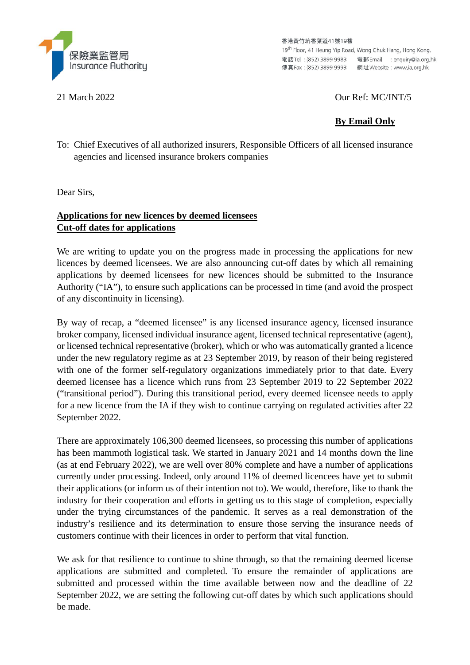

香港黃竹坑香葉道41號19樓 19<sup>th</sup> Floor, 41 Heung Yip Road, Wong Chuk Hang, Hong Kong. 

21 March 2022 Our Ref: MC/INT/5

# **By Email Only**

To: Chief Executives of all authorized insurers, Responsible Officers of all licensed insurance agencies and licensed insurance brokers companies

Dear Sirs,

## **Applications for new licences by deemed licensees Cut-off dates for applications**

We are writing to update you on the progress made in processing the applications for new licences by deemed licensees. We are also announcing cut-off dates by which all remaining applications by deemed licensees for new licences should be submitted to the Insurance Authority ("IA"), to ensure such applications can be processed in time (and avoid the prospect of any discontinuity in licensing).

By way of recap, a "deemed licensee" is any licensed insurance agency, licensed insurance broker company, licensed individual insurance agent, licensed technical representative (agent), or licensed technical representative (broker), which or who was automatically granted a licence under the new regulatory regime as at 23 September 2019, by reason of their being registered with one of the former self-regulatory organizations immediately prior to that date. Every deemed licensee has a licence which runs from 23 September 2019 to 22 September 2022 ("transitional period"). During this transitional period, every deemed licensee needs to apply for a new licence from the IA if they wish to continue carrying on regulated activities after 22 September 2022.

There are approximately 106,300 deemed licensees, so processing this number of applications has been mammoth logistical task. We started in January 2021 and 14 months down the line (as at end February 2022), we are well over 80% complete and have a number of applications currently under processing. Indeed, only around 11% of deemed licencees have yet to submit their applications (or inform us of their intention not to). We would, therefore, like to thank the industry for their cooperation and efforts in getting us to this stage of completion, especially under the trying circumstances of the pandemic. It serves as a real demonstration of the industry's resilience and its determination to ensure those serving the insurance needs of customers continue with their licences in order to perform that vital function.

We ask for that resilience to continue to shine through, so that the remaining deemed license applications are submitted and completed. To ensure the remainder of applications are submitted and processed within the time available between now and the deadline of 22 September 2022, we are setting the following cut-off dates by which such applications should be made.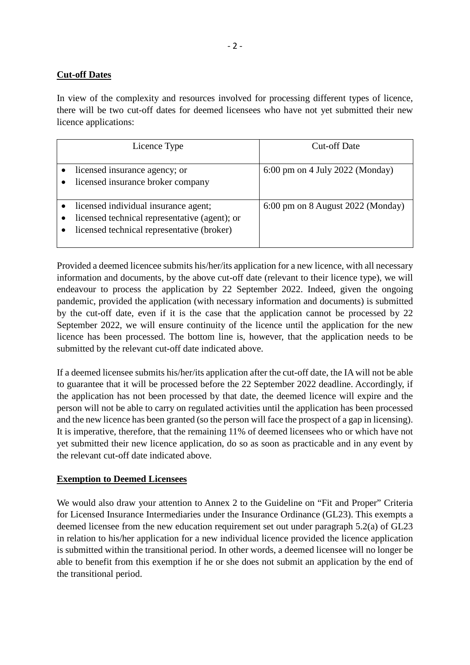### **Cut-off Dates**

In view of the complexity and resources involved for processing different types of licence, there will be two cut-off dates for deemed licensees who have not yet submitted their new licence applications:

| Licence Type                                                                                                                        | <b>Cut-off Date</b>                       |
|-------------------------------------------------------------------------------------------------------------------------------------|-------------------------------------------|
| licensed insurance agency; or<br>licensed insurance broker company                                                                  | $6:00 \text{ pm}$ on 4 July 2022 (Monday) |
| licensed individual insurance agent;<br>licensed technical representative (agent); or<br>licensed technical representative (broker) | 6:00 pm on 8 August 2022 (Monday)         |

Provided a deemed licencee submits his/her/its application for a new licence, with all necessary information and documents, by the above cut-off date (relevant to their licence type), we will endeavour to process the application by 22 September 2022. Indeed, given the ongoing pandemic, provided the application (with necessary information and documents) is submitted by the cut-off date, even if it is the case that the application cannot be processed by 22 September 2022, we will ensure continuity of the licence until the application for the new licence has been processed. The bottom line is, however, that the application needs to be submitted by the relevant cut-off date indicated above.

If a deemed licensee submits his/her/its application after the cut-off date, the IA will not be able to guarantee that it will be processed before the 22 September 2022 deadline. Accordingly, if the application has not been processed by that date, the deemed licence will expire and the person will not be able to carry on regulated activities until the application has been processed and the new licence has been granted (so the person will face the prospect of a gap in licensing). It is imperative, therefore, that the remaining 11% of deemed licensees who or which have not yet submitted their new licence application, do so as soon as practicable and in any event by the relevant cut-off date indicated above.

#### **Exemption to Deemed Licensees**

We would also draw your attention to Annex 2 to the Guideline on "Fit and Proper" Criteria for Licensed Insurance Intermediaries under the Insurance Ordinance (GL23). This exempts a deemed licensee from the new education requirement set out under paragraph 5.2(a) of GL23 in relation to his/her application for a new individual licence provided the licence application is submitted within the transitional period. In other words, a deemed licensee will no longer be able to benefit from this exemption if he or she does not submit an application by the end of the transitional period.